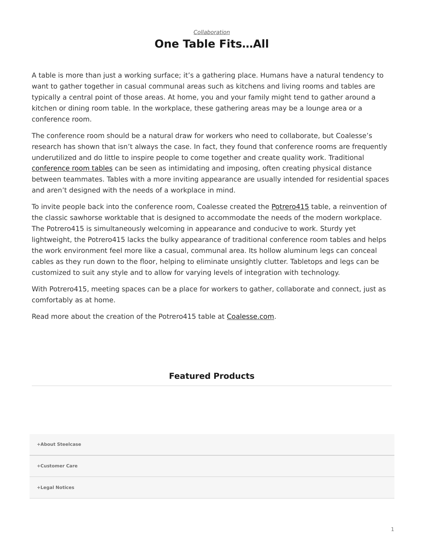## *[Collaboration](https://www.steelcase.com/research/topics/collaboration/)* **One Table Fits…All**

<span id="page-0-0"></span>A table is more than just a working surface; it's a gathering place. Humans have a natural tendency to want to gather together in casual communal areas such as kitchens and living rooms and tables are typically a central point of those areas. At home, you and your family might tend to gather around a kitchen or dining room table. In the workplace, these gathering areas may be a lounge area or a conference room.

The conference room should be a natural draw for workers who need to collaborate, but Coalesse's research has shown that isn't always the case. In fact, they found that conference rooms are frequently underutilized and do little to inspire people to come together and create quality work. Traditional [conference room tables](https://www.steelcase.com/products/conference-classroom-tables/) can be seen as intimidating and imposing, often creating physical distance between teammates. Tables with a more inviting appearance are usually intended for residential spaces and aren't designed with the needs of a workplace in mind.

To invite people back into the conference room, Coalesse created the [Potrero415](https://www.steelcase.com/products/conference-classroom-tables/potrero415/) table, a reinvention of the classic sawhorse worktable that is designed to accommodate the needs of the modern workplace. The Potrero415 is simultaneously welcoming in appearance and conducive to work. Sturdy yet lightweight, the Potrero415 lacks the bulky appearance of traditional conference room tables and helps the work environment feel more like a casual, communal area. Its hollow aluminum legs can conceal cables as they run down to the floor, helping to eliminate unsightly clutter. Tabletops and legs can be customized to suit any style and to allow for varying levels of integration with technology.

With Potrero415, meeting spaces can be a place for workers to gather, collaborate and connect, just as comfortably as at home.

Read more about the creation of the Potrero415 table at [Coalesse.com](http://www.coalesse.com/insights/potrero415-one-table-fits-all/).

## **Featured Products**

**[+About Steelcase](https://www.steelcase.com/discover/steelcase/our-company/)**

**[+Customer Care](#page-0-0)**

**[+Legal Notices](#page-0-0)**